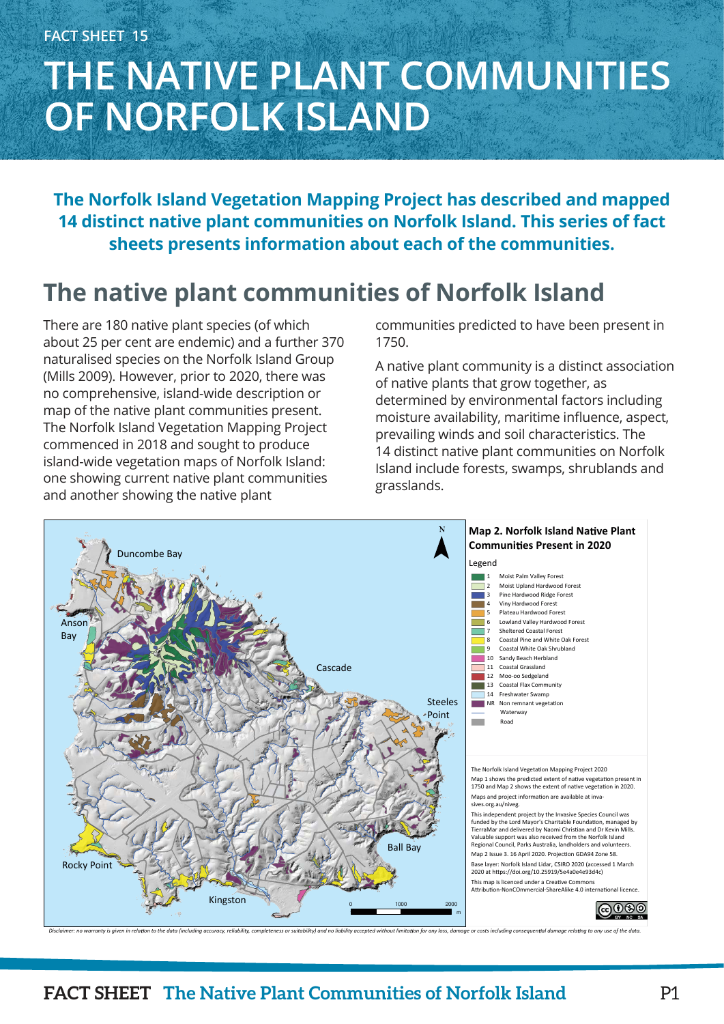# **THE NATIVE PLANT COMMUNITIES OF NORFOLK ISLAND**

**The Norfolk Island Vegetation Mapping Project has described and mapped 14 distinct native plant communities on Norfolk Island. This series of fact sheets presents information about each of the communities.**

## **The native plant communities of Norfolk Island**

There are 180 native plant species (of which about 25 per cent are endemic) and a further 370 naturalised species on the Norfolk Island Group (Mills 2009). However, prior to 2020, there was no comprehensive, island-wide description or map of the native plant communities present. The Norfolk Island Vegetation Mapping Project commenced in 2018 and sought to produce island-wide vegetation maps of Norfolk Island: one showing current native plant communities and another showing the native plant

communities predicted to have been present in 1750.

A native plant community is a distinct association of native plants that grow together, as determined by environmental factors including moisture availability, maritime influence, aspect, prevailing winds and soil characteristics. The 14 distinct native plant communities on Norfolk Island include forests, swamps, shrublands and grasslands.



Disclaimer: no warranty is given in relation to the data (including accuracy, reliability, completeness or suitability) and no liability accepted without limitation for any loss, damage or costs including consequential dam